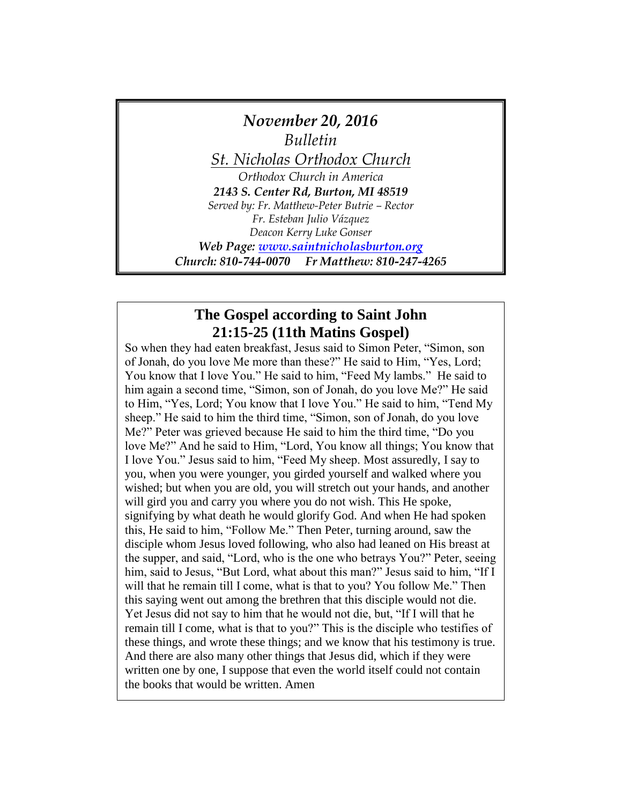

## **The Gospel according to Saint John 21:15-25 (11th Matins Gospel)**

So when they had eaten breakfast, Jesus said to Simon Peter, "Simon, son of Jonah, do you love Me more than these?" He said to Him, "Yes, Lord; You know that I love You." He said to him, "Feed My lambs." He said to him again a second time, "Simon, son of Jonah, do you love Me?" He said to Him, "Yes, Lord; You know that I love You." He said to him, "Tend My sheep." He said to him the third time, "Simon, son of Jonah, do you love Me?" Peter was grieved because He said to him the third time, "Do you love Me?" And he said to Him, "Lord, You know all things; You know that I love You." Jesus said to him, "Feed My sheep. Most assuredly, I say to you, when you were younger, you girded yourself and walked where you wished; but when you are old, you will stretch out your hands, and another will gird you and carry you where you do not wish. This He spoke, signifying by what death he would glorify God. And when He had spoken this, He said to him, "Follow Me." Then Peter, turning around, saw the disciple whom Jesus loved following, who also had leaned on His breast at the supper, and said, "Lord, who is the one who betrays You?" Peter, seeing him, said to Jesus, "But Lord, what about this man?" Jesus said to him, "If I will that he remain till I come, what is that to you? You follow Me." Then this saying went out among the brethren that this disciple would not die. Yet Jesus did not say to him that he would not die, but, "If I will that he remain till I come, what is that to you?" This is the disciple who testifies of these things, and wrote these things; and we know that his testimony is true. And there are also many other things that Jesus did, which if they were written one by one, I suppose that even the world itself could not contain the books that would be written. Amen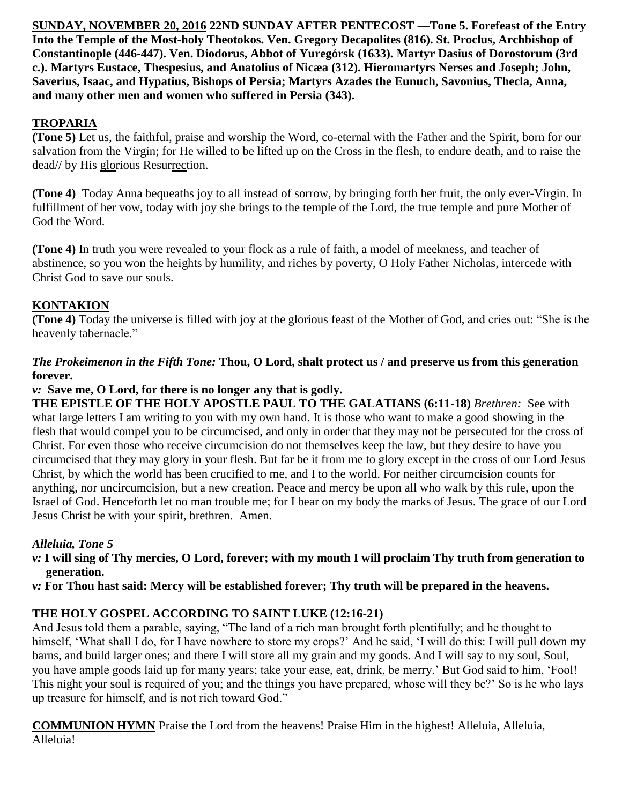**SUNDAY, NOVEMBER 20, 2016 22ND SUNDAY AFTER PENTECOST —Tone 5. Forefeast of the Entry Into the Temple of the Most-holy Theotokos. Ven. Gregory Decapolites (816). St. Proclus, Archbishop of Constantinople (446-447). Ven. Diodorus, Abbot of Yuregórsk (1633). Martyr Dasius of Dorostorum (3rd c.). Martyrs Eustace, Thespesius, and Anatolius of Nicæa (312). Hieromartyrs Nerses and Joseph; John, Saverius, Isaac, and Hypatius, Bishops of Persia; Martyrs Azades the Eunuch, Savonius, Thecla, Anna, and many other men and women who suffered in Persia (343).**

# **TROPARIA**

**(Tone 5)** Let us, the faithful, praise and worship the Word, co-eternal with the Father and the Spirit, born for our salvation from the Virgin; for He willed to be lifted up on the Cross in the flesh, to endure death, and to raise the dead// by His glorious Resurrection.

**(Tone 4)** Today Anna bequeaths joy to all instead of sorrow, by bringing forth her fruit, the only ever-Virgin. In fulfillment of her vow, today with joy she brings to the temple of the Lord, the true temple and pure Mother of God the Word.

**(Tone 4)** In truth you were revealed to your flock as a rule of faith, a model of meekness, and teacher of abstinence, so you won the heights by humility, and riches by poverty, O Holy Father Nicholas, intercede with Christ God to save our souls.

## **KONTAKION**

**(Tone 4)** Today the universe is filled with joy at the glorious feast of the Mother of God, and cries out: "She is the heavenly tabernacle."

#### *The Prokeimenon in the Fifth Tone:* **Thou, O Lord, shalt protect us / and preserve us from this generation forever.**

*v:* **Save me, O Lord, for there is no longer any that is godly.** 

**THE EPISTLE OF THE HOLY APOSTLE PAUL TO THE GALATIANS (6:11-18)** *Brethren:* See with what large letters I am writing to you with my own hand. It is those who want to make a good showing in the flesh that would compel you to be circumcised, and only in order that they may not be persecuted for the cross of Christ. For even those who receive circumcision do not themselves keep the law, but they desire to have you circumcised that they may glory in your flesh. But far be it from me to glory except in the cross of our Lord Jesus Christ, by which the world has been crucified to me, and I to the world. For neither circumcision counts for anything, nor uncircumcision, but a new creation. Peace and mercy be upon all who walk by this rule, upon the Israel of God. Henceforth let no man trouble me; for I bear on my body the marks of Jesus. The grace of our Lord Jesus Christ be with your spirit, brethren. Amen.

## *Alleluia, Tone 5*

- *v:* **I will sing of Thy mercies, O Lord, forever; with my mouth I will proclaim Thy truth from generation to generation.**
- *v:* **For Thou hast said: Mercy will be established forever; Thy truth will be prepared in the heavens.**

## **THE HOLY GOSPEL ACCORDING TO SAINT LUKE (12:16-21)**

And Jesus told them a parable, saying, "The land of a rich man brought forth plentifully; and he thought to himself, 'What shall I do, for I have nowhere to store my crops?' And he said, 'I will do this: I will pull down my barns, and build larger ones; and there I will store all my grain and my goods. And I will say to my soul, Soul, you have ample goods laid up for many years; take your ease, eat, drink, be merry.' But God said to him, 'Fool! This night your soul is required of you; and the things you have prepared, whose will they be?' So is he who lays up treasure for himself, and is not rich toward God."

**COMMUNION HYMN** Praise the Lord from the heavens! Praise Him in the highest! Alleluia, Alleluia, Alleluia!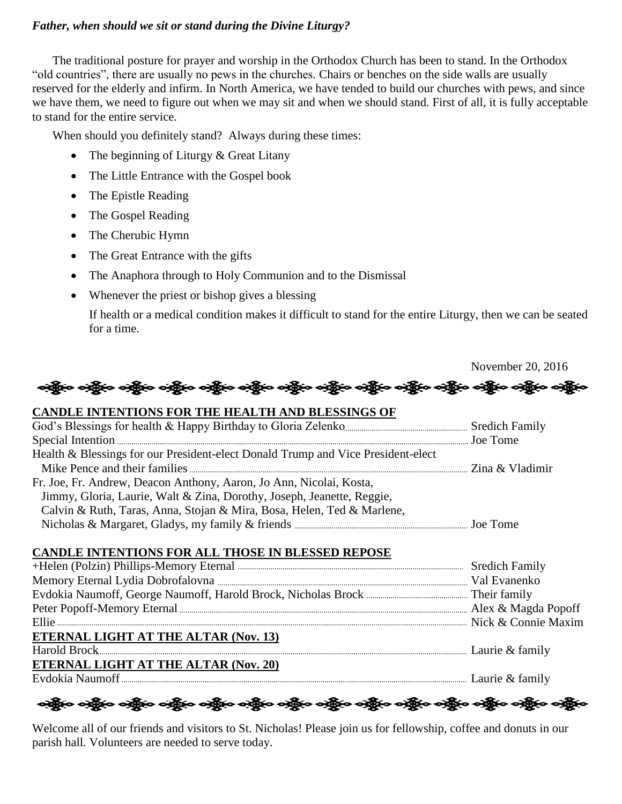#### *Father, when should we sit or stand during the Divine Liturgy?*

The traditional posture for prayer and worship in the Orthodox Church has been to stand. In the Orthodox "old countries", there are usually no pews in the churches. Chairs or benches on the side walls are usually reserved for the elderly and infirm. In North America, we have tended to build our churches with pews, and since we have them, we need to figure out when we may sit and when we should stand. First of all, it is fully acceptable to stand for the entire service.

When should you definitely stand? Always during these times:

- The beginning of Liturgy & Great Litany
- The Little Entrance with the Gospel book
- The Epistle Reading
- The Gospel Reading
- The Cherubic Hymn
- The Great Entrance with the gifts
- The Anaphora through to Holy Communion and to the Dismissal
- Whenever the priest or bishop gives a blessing

If health or a medical condition makes it difficult to stand for the entire Liturgy, then we can be seated for a time.

|                                                                                      | November 20, 2016 |
|--------------------------------------------------------------------------------------|-------------------|
| တို့မှာ တို့မှာ တို့မှာ တို့မှာ တို့မှာ တို့မှာ တို့မှာ တို့မှာ တို့မှာ တို့မှာ တို့ | တဲ့နိုးဝ တဲ့နို   |
| <b>CANDLE INTENTIONS FOR THE HEALTH AND BLESSINGS OF</b>                             |                   |
|                                                                                      |                   |
|                                                                                      |                   |
| Health & Blessings for our President-elect Donald Trump and Vice President-elect     |                   |
|                                                                                      |                   |
| Fr. Joe, Fr. Andrew, Deacon Anthony, Aaron, Jo Ann, Nicolai, Kosta,                  |                   |
| Jimmy, Gloria, Laurie, Walt & Zina, Dorothy, Joseph, Jeanette, Reggie,               |                   |
| Calvin & Ruth, Taras, Anna, Stojan & Mira, Bosa, Helen, Ted & Marlene,               |                   |
|                                                                                      |                   |
| CANDLE INTENTIONS FOR ALL THOSE IN BLESSED REPOSE                                    |                   |
|                                                                                      |                   |
|                                                                                      |                   |
|                                                                                      |                   |
|                                                                                      |                   |
|                                                                                      |                   |
| <b>ETERNAL LIGHT AT THE ALTAR (Nov. 13)</b>                                          |                   |
|                                                                                      |                   |
| ETERNAL LIGHT AT THE ALTAR (Nov. 20)                                                 |                   |
|                                                                                      |                   |
|                                                                                      |                   |

ခရွို့လ ခရွို့လ ခရွို့လ ခရွို့လ ခရွို့လ ခရွို့လ ခရွို့လ ခရွို့လ ခရွို့လ ခရွို့လ ခရွို့လ ခရွို့လ ခရွို့လ ခရွိုင

Welcome all of our friends and visitors to St. Nicholas! Please join us for fellowship, coffee and donuts in our parish hall. Volunteers are needed to serve today.